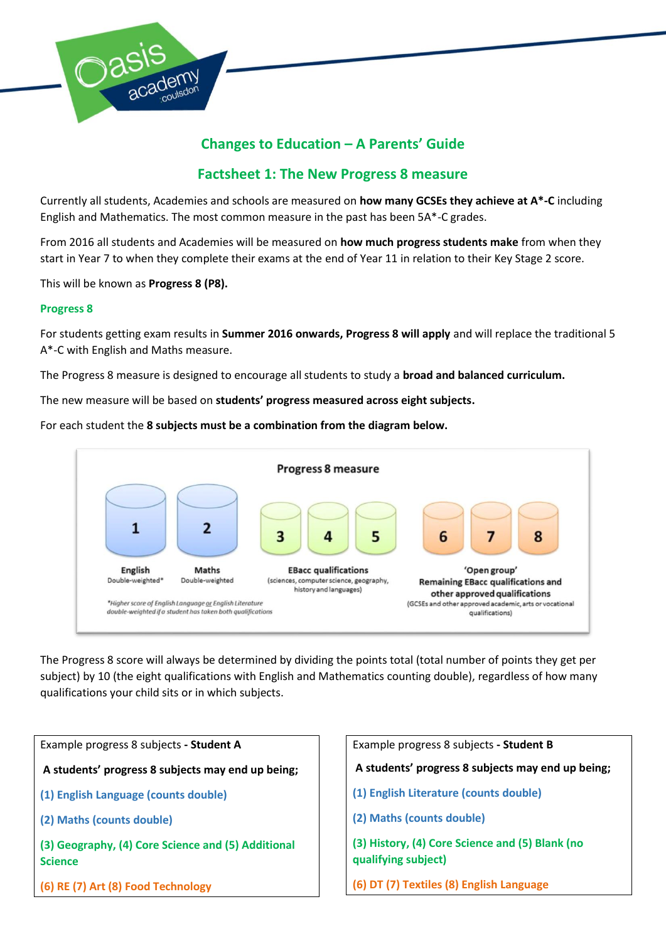

# **Changes to Education – A Parents' Guide**

# **Factsheet 1: The New Progress 8 measure**

Currently all students, Academies and schools are measured on **how many GCSEs they achieve at A\*-C** including English and Mathematics. The most common measure in the past has been 5A\*-C grades.

From 2016 all students and Academies will be measured on **how much progress students make** from when they start in Year 7 to when they complete their exams at the end of Year 11 in relation to their Key Stage 2 score.

This will be known as **Progress 8 (P8).**

# **Progress 8**

For students getting exam results in **Summer 2016 onwards, Progress 8 will apply** and will replace the traditional 5 A\*-C with English and Maths measure.

The Progress 8 measure is designed to encourage all students to study a **broad and balanced curriculum.**

The new measure will be based on **students' progress measured across eight subjects.**

For each student the **8 subjects must be a combination from the diagram below.**



The Progress 8 score will always be determined by dividing the points total (total number of points they get per subject) by 10 (the eight qualifications with English and Mathematics counting double), regardless of how many qualifications your child sits or in which subjects.

| Example progress 8 subjects - Student A                              | Example progress 8 subjects - Student B                                |  |
|----------------------------------------------------------------------|------------------------------------------------------------------------|--|
| A students' progress 8 subjects may end up being;                    | A students' progress 8 subjects may end up being;                      |  |
| (1) English Language (counts double)                                 | (1) English Literature (counts double)                                 |  |
| (2) Maths (counts double)                                            | (2) Maths (counts double)                                              |  |
| (3) Geography, (4) Core Science and (5) Additional<br><b>Science</b> | (3) History, (4) Core Science and (5) Blank (no<br>qualifying subject) |  |
| (6) RE (7) Art (8) Food Technology                                   | (6) DT (7) Textiles (8) English Language                               |  |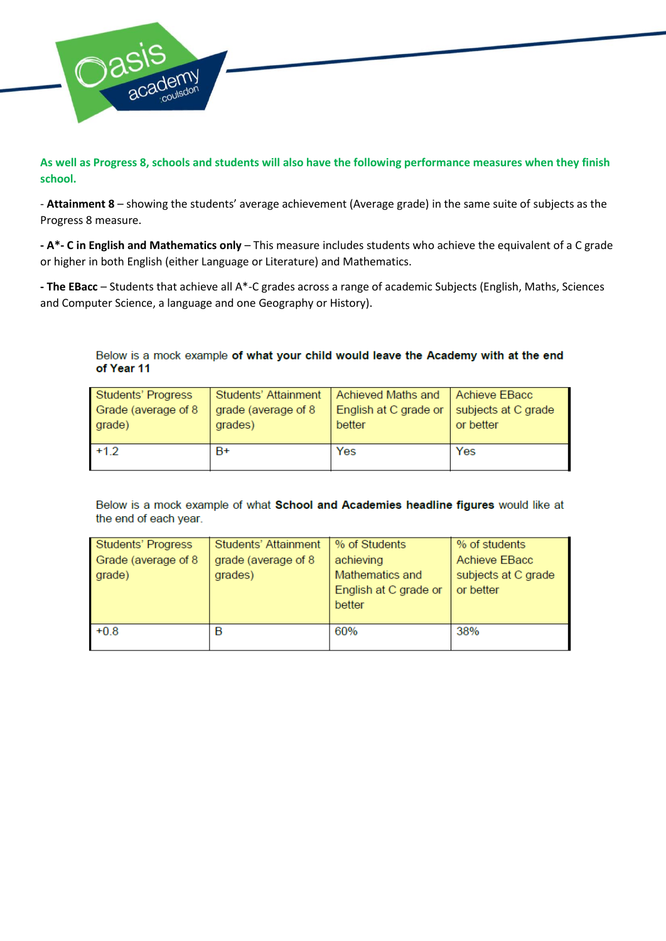

**As well as Progress 8, schools and students will also have the following performance measures when they finish school.**

- **Attainment 8** – showing the students' average achievement (Average grade) in the same suite of subjects as the Progress 8 measure.

**- A\*- C in English and Mathematics only** – This measure includes students who achieve the equivalent of a C grade or higher in both English (either Language or Literature) and Mathematics.

**- The EBacc** – Students that achieve all A\*-C grades across a range of academic Subjects (English, Maths, Sciences and Computer Science, a language and one Geography or History).

Below is a mock example of what your child would leave the Academy with at the end of Year 11

| Students' Progress  | Students' Attainment | Achieved Maths and    | Achieve EBacc       |
|---------------------|----------------------|-----------------------|---------------------|
| Grade (average of 8 | grade (average of 8  | English at C grade or | subjects at C grade |
| grade)              | grades)              | better                | or better           |
| $+1.2$              | B+                   | Yes                   | Yes                 |

Below is a mock example of what School and Academies headline figures would like at the end of each year.

| Students' Progress  | Students' Attainment | % of Students         | % of students       |
|---------------------|----------------------|-----------------------|---------------------|
| Grade (average of 8 | grade (average of 8  | achieving             | Achieve EBacc       |
| grade)              | grades)              | Mathematics and       | subjects at C grade |
|                     |                      | English at C grade or | or better           |
|                     |                      | better                |                     |
|                     |                      |                       |                     |
| $+0.8$              | в                    | 60%                   | 38%                 |
|                     |                      |                       |                     |